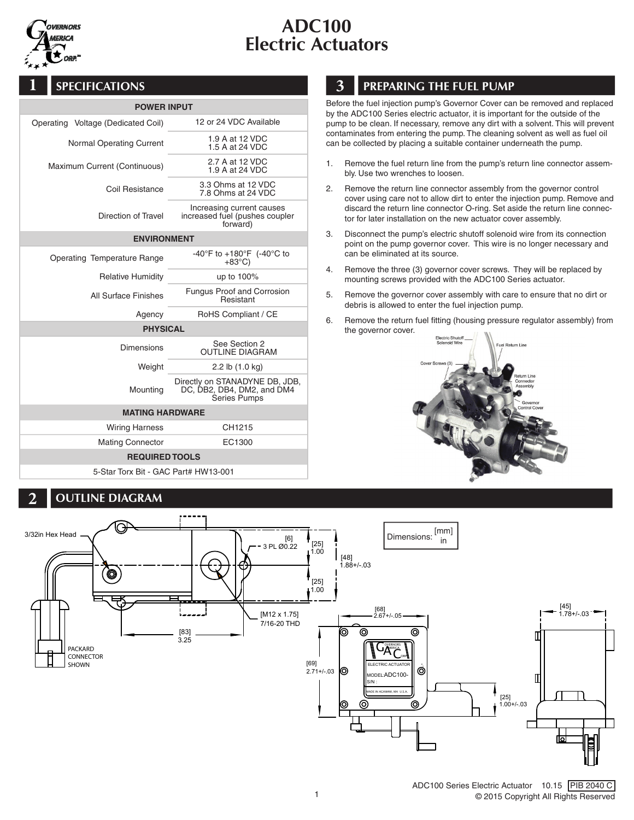

# ADC100 Electric Actuators

## **1** SPECIFICATIONS

| <b>POWER INPUT</b>                 |                                                                                     |  |
|------------------------------------|-------------------------------------------------------------------------------------|--|
| Operating Voltage (Dedicated Coil) | 12 or 24 VDC Available                                                              |  |
| Normal Operating Current           | 1.9 A at 12 VDC<br>1.5 A at 24 VDC                                                  |  |
| Maximum Current (Continuous)       | 2.7 A at 12 VDC<br>1.9 A at 24 VDC                                                  |  |
| Coil Resistance                    | 3.3 Ohms at 12 VDC<br>7.8 Ohms at 24 VDC                                            |  |
| Direction of Travel                | Increasing current causes<br>increased fuel (pushes coupler<br>forward)             |  |
| <b>ENVIRONMENT</b>                 |                                                                                     |  |
| Operating Temperature Range        | -40°F to +180°F (-40°C to<br>$+83^{\circ}$ C)                                       |  |
| <b>Relative Humidity</b>           | up to 100%                                                                          |  |
| All Surface Finishes               | <b>Fungus Proof and Corrosion</b><br>Resistant                                      |  |
| Agency                             | RoHS Compliant / CE                                                                 |  |
| <b>PHYSICAL</b>                    |                                                                                     |  |
| <b>Dimensions</b>                  | See Section 2<br><b>OUTLINE DIAGRAM</b>                                             |  |
| Weight                             | 2.2 lb (1.0 kg)                                                                     |  |
| Mounting                           | Directly on STANADYNE DB, JDB,<br>DC, DB2, DB4, DM2, and DM4<br><b>Series Pumps</b> |  |
| <b>MATING HARDWARE</b>             |                                                                                     |  |
| <b>Wiring Harness</b>              | CH1215                                                                              |  |
| <b>Mating Connector</b>            | EC1300                                                                              |  |
| <b>REQUIRED TOOLS</b>              |                                                                                     |  |

5-Star Torx Bit - GAC Part# HW13-001

#### **2** OUTLINE DIAGRAM

## **3** PREPARING THE FUEL PUMP

Before the fuel injection pump's Governor Cover can be removed and replaced by the ADC100 Series electric actuator, it is important for the outside of the pump to be clean. If necessary, remove any dirt with a solvent. This will prevent contaminates from entering the pump. The cleaning solvent as well as fuel oil can be collected by placing a suitable container underneath the pump.

- 1. Remove the fuel return line from the pump's return line connector assembly. Use two wrenches to loosen.
- 2. Remove the return line connector assembly from the governor control cover using care not to allow dirt to enter the injection pump. Remove and discard the return line connector O-ring. Set aside the return line connector for later installation on the new actuator cover assembly.
- 3. Disconnect the pump's electric shutoff solenoid wire from its connection point on the pump governor cover. This wire is no longer necessary and can be eliminated at its source.
- 4. Remove the three (3) governor cover screws. They will be replaced by mounting screws provided with the ADC100 Series actuator.
- 5. Remove the governor cover assembly with care to ensure that no dirt or debris is allowed to enter the fuel injection pump.
- 6. Remove the return fuel fitting (housing pressure regulator assembly) from the governor cover.



 $\overline{a}$ 



3/32in Hex Head